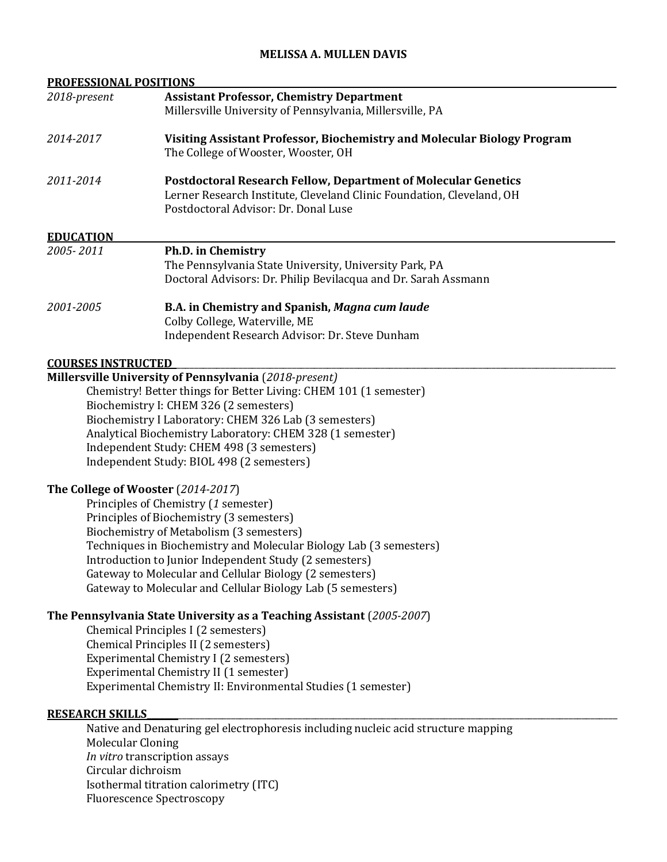# **MELISSA A. MULLEN DAVIS**

| <b>PROFESSIONAL POSITIONS</b> |                                                                                    |
|-------------------------------|------------------------------------------------------------------------------------|
| 2018-present                  | <b>Assistant Professor, Chemistry Department</b>                                   |
|                               | Millersville University of Pennsylvania, Millersville, PA                          |
| 2014-2017                     | Visiting Assistant Professor, Biochemistry and Molecular Biology Program           |
|                               | The College of Wooster, Wooster, OH                                                |
| 2011-2014                     | <b>Postdoctoral Research Fellow, Department of Molecular Genetics</b>              |
|                               | Lerner Research Institute, Cleveland Clinic Foundation, Cleveland, OH              |
|                               | Postdoctoral Advisor: Dr. Donal Luse                                               |
| <b>EDUCATION</b>              |                                                                                    |
| 2005-2011                     | Ph.D. in Chemistry                                                                 |
|                               | The Pennsylvania State University, University Park, PA                             |
|                               | Doctoral Advisors: Dr. Philip Bevilacqua and Dr. Sarah Assmann                     |
| 2001-2005                     | B.A. in Chemistry and Spanish, Magna cum laude                                     |
|                               | Colby College, Waterville, ME                                                      |
|                               | Independent Research Advisor: Dr. Steve Dunham                                     |
| <b>COURSES INSTRUCTED</b>     |                                                                                    |
|                               | Millersville University of Pennsylvania (2018-present)                             |
|                               | Chemistry! Better things for Better Living: CHEM 101 (1 semester)                  |
|                               | Biochemistry I: CHEM 326 (2 semesters)                                             |
|                               | Biochemistry I Laboratory: CHEM 326 Lab (3 semesters)                              |
|                               | Analytical Biochemistry Laboratory: CHEM 328 (1 semester)                          |
|                               | Independent Study: CHEM 498 (3 semesters)                                          |
|                               | Independent Study: BIOL 498 (2 semesters)                                          |
|                               | The College of Wooster (2014-2017)                                                 |
|                               | Principles of Chemistry (1 semester)                                               |
|                               | Principles of Biochemistry (3 semesters)                                           |
|                               | Biochemistry of Metabolism (3 semesters)                                           |
|                               | Techniques in Biochemistry and Molecular Biology Lab (3 semesters)                 |
|                               | Introduction to Junior Independent Study (2 semesters)                             |
|                               | Gateway to Molecular and Cellular Biology (2 semesters)                            |
|                               | Gateway to Molecular and Cellular Biology Lab (5 semesters)                        |
|                               | The Pennsylvania State University as a Teaching Assistant (2005-2007)              |
|                               | Chemical Principles I (2 semesters)                                                |
|                               | Chemical Principles II (2 semesters)                                               |
|                               | Experimental Chemistry I (2 semesters)                                             |
|                               | Experimental Chemistry II (1 semester)                                             |
|                               | Experimental Chemistry II: Environmental Studies (1 semester)                      |
| <b>RESEARCH SKILLS</b>        |                                                                                    |
|                               | Native and Denaturing gel electrophoresis including nucleic acid structure mapping |
| Molecular Cloning             |                                                                                    |

Molecular Cloning *In vitro* transcription assays Circular dichroism Isothermal titration calorimetry (ITC) Fluorescence Spectroscopy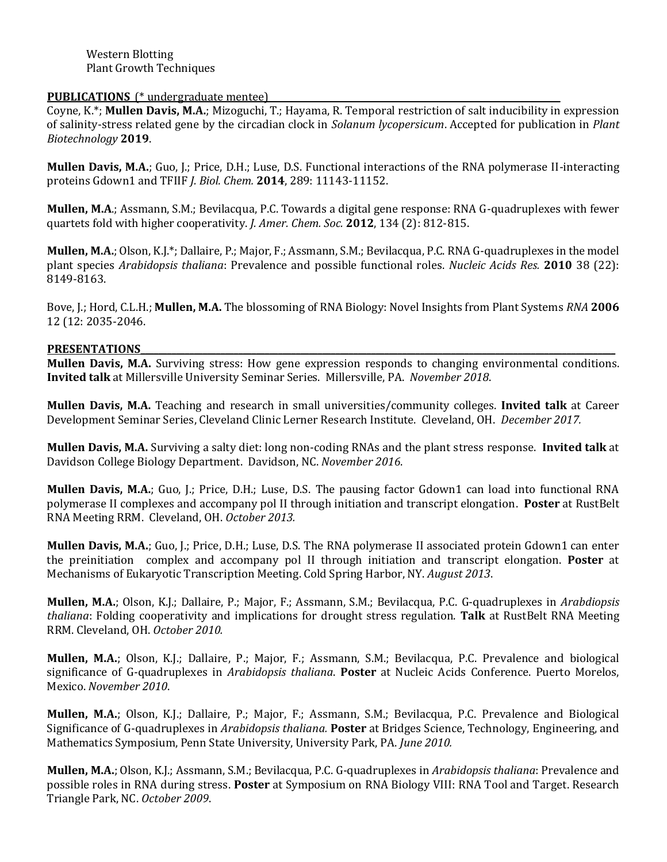## **PUBLICATIONS\_(\*** undergraduate mentee)

Coyne, K.\*; **Mullen Davis, M.A.**; Mizoguchi, T.; Hayama, R. Temporal restriction of salt inducibility in expression of salinity-stress related gene by the circadian clock in *Solanum lycopersicum*. Accepted for publication in *Plant Biotechnology* **2019**.

**Mullen Davis, M.A.**; Guo, J.; Price, D.H.; Luse, D.S. Functional interactions of the RNA polymerase II-interacting proteins Gdown1 and TFIIF *J. Biol. Chem.* **2014**, 289: 11143-11152.

**Mullen, M.A**.; Assmann, S.M.; Bevilacqua, P.C. Towards a digital gene response: RNA G-quadruplexes with fewer quartets fold with higher cooperativity. *J. Amer. Chem. Soc.* **2012**, 134 (2): 812-815.

**Mullen, M.A.**; Olson, K.J.\*; Dallaire, P.; Major, F.; Assmann, S.M.; Bevilacqua, P.C. RNA G-quadruplexes in the model plant species *Arabidopsis thaliana*: Prevalence and possible functional roles. *Nucleic Acids Res.* **2010** 38 (22): 8149-8163.

Bove, J.; Hord, C.L.H.; **Mullen, M.A.** The blossoming of RNA Biology: Novel Insights from Plant Systems *RNA* **2006** 12 (12: 2035-2046.

#### PRESENTATIONS

**Mullen Davis, M.A.** Surviving stress: How gene expression responds to changing environmental conditions. **Invited talk** at Millersville University Seminar Series. Millersville, PA. *November 2018*.

**Mullen Davis, M.A.** Teaching and research in small universities/community colleges. **Invited talk** at Career Development Seminar Series, Cleveland Clinic Lerner Research Institute. Cleveland, OH. *December 2017.*

**Mullen Davis, M.A.** Surviving a salty diet: long non-coding RNAs and the plant stress response. **Invited talk** at Davidson College Biology Department. Davidson, NC. *November 2016*.

**Mullen Davis, M.A.**; Guo, J.; Price, D.H.; Luse, D.S. The pausing factor Gdown1 can load into functional RNA polymerase II complexes and accompany pol II through initiation and transcript elongation. **Poster** at RustBelt RNA Meeting RRM. Cleveland, OH. *October 2013.*

**Mullen Davis, M.A.**; Guo, J.; Price, D.H.; Luse, D.S. The RNA polymerase II associated protein Gdown1 can enter the preinitiation complex and accompany pol II through initiation and transcript elongation. **Poster** at Mechanisms of Eukaryotic Transcription Meeting. Cold Spring Harbor, NY. *August 2013*.

**Mullen, M.A.**; Olson, K.J.; Dallaire, P.; Major, F.; Assmann, S.M.; Bevilacqua, P.C. G-quadruplexes in *Arabdiopsis thaliana*: Folding cooperativity and implications for drought stress regulation. **Talk** at RustBelt RNA Meeting RRM. Cleveland, OH. *October 2010.*

**Mullen, M.A.**; Olson, K.J.; Dallaire, P.; Major, F.; Assmann, S.M.; Bevilacqua, P.C. Prevalence and biological significance of G-quadruplexes in *Arabidopsis thaliana*. **Poster** at Nucleic Acids Conference. Puerto Morelos, Mexico. *November 2010*.

**Mullen, M.A.**; Olson, K.J.; Dallaire, P.; Major, F.; Assmann, S.M.; Bevilacqua, P.C. Prevalence and Biological Significance of G-quadruplexes in *Arabidopsis thaliana.* **Poster** at Bridges Science, Technology, Engineering, and Mathematics Symposium, Penn State University, University Park, PA. *June 2010.*

**Mullen, M.A.**; Olson, K.J.; Assmann, S.M.; Bevilacqua, P.C. G-quadruplexes in *Arabidopsis thaliana*: Prevalence and possible roles in RNA during stress. **Poster** at Symposium on RNA Biology VIII: RNA Tool and Target. Research Triangle Park, NC. *October 2009*.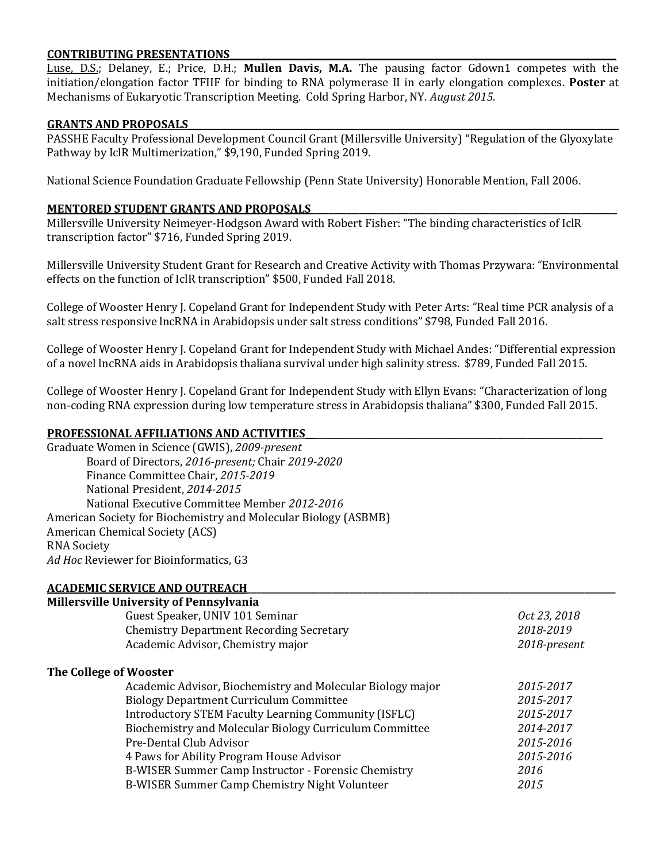# **CONTRIBUTING PRESENTATIONS\_\_\_\_\_\_\_\_\_\_\_\_\_\_\_\_\_\_\_\_\_\_\_\_\_\_\_\_\_\_\_\_\_\_\_\_\_\_\_\_\_\_\_\_\_\_\_\_\_\_\_\_\_\_\_\_\_\_\_\_\_\_\_\_\_\_\_\_\_\_\_\_\_\_\_\_\_\_\_\_\_\_\_\_\_\_\_**

Luse, D.S.; Delaney, E.; Price, D.H.; **Mullen Davis, M.A.** The pausing factor Gdown1 competes with the initiation/elongation factor TFIIF for binding to RNA polymerase II in early elongation complexes. **Poster** at Mechanisms of Eukaryotic Transcription Meeting. Cold Spring Harbor, NY. *August 2015*.

#### GRANTS AND PROPOSALS

PASSHE Faculty Professional Development Council Grant (Millersville University) "Regulation of the Glyoxylate Pathway by IclR Multimerization," \$9,190, Funded Spring 2019.

National Science Foundation Graduate Fellowship (Penn State University) Honorable Mention, Fall 2006.

### **MENTORED STUDENT GRANTS AND PROPOSALS**

Millersville University Neimeyer-Hodgson Award with Robert Fisher: "The binding characteristics of IclR transcription factor" \$716, Funded Spring 2019.

Millersville University Student Grant for Research and Creative Activity with Thomas Przywara: "Environmental effects on the function of IclR transcription" \$500, Funded Fall 2018.

College of Wooster Henry J. Copeland Grant for Independent Study with Peter Arts: "Real time PCR analysis of a salt stress responsive lncRNA in Arabidopsis under salt stress conditions" \$798, Funded Fall 2016.

College of Wooster Henry J. Copeland Grant for Independent Study with Michael Andes: "Differential expression of a novel lncRNA aids in Arabidopsis thaliana survival under high salinity stress. \$789, Funded Fall 2015.

College of Wooster Henry J. Copeland Grant for Independent Study with Ellyn Evans: "Characterization of long non-coding RNA expression during low temperature stress in Arabidopsis thaliana" \$300, Funded Fall 2015.

# **PROFESSIONAL AFFILIATIONS AND ACTIVITIES\_\_\_\_\_\_\_\_\_\_\_\_\_\_\_\_\_\_\_\_\_\_\_\_\_\_\_\_\_\_\_\_\_\_\_\_\_\_\_\_\_\_\_\_\_\_\_\_\_\_\_\_\_\_\_\_\_\_\_\_\_\_\_\_\_\_\_**

Graduate Women in Science (GWIS), *2009-present* Board of Directors, *2016-present;* Chair *2019-2020* Finance Committee Chair, *2015-2019* National President, *2014-2015* National Executive Committee Member *2012-2016* American Society for Biochemistry and Molecular Biology (ASBMB) American Chemical Society (ACS) RNA Society *Ad Hoc* Reviewer for Bioinformatics, G3

#### **ACADEMIC SERVICE AND OUTREACH\_\_\_\_\_\_\_\_\_\_\_\_\_\_\_\_\_\_\_\_\_\_\_\_\_\_\_\_\_\_\_\_\_\_\_\_\_\_\_\_\_\_\_\_\_\_\_\_\_\_\_\_\_\_\_\_\_\_\_\_\_\_\_\_\_\_\_\_\_\_\_\_\_\_\_\_\_\_\_\_\_\_\_**

| <b>Millersville University of Pennsylvania</b> |                                                            |              |  |  |
|------------------------------------------------|------------------------------------------------------------|--------------|--|--|
|                                                | Guest Speaker, UNIV 101 Seminar                            | Oct 23, 2018 |  |  |
|                                                | <b>Chemistry Department Recording Secretary</b>            | 2018-2019    |  |  |
|                                                | Academic Advisor, Chemistry major                          | 2018-present |  |  |
| The College of Wooster                         |                                                            |              |  |  |
|                                                | Academic Advisor, Biochemistry and Molecular Biology major | 2015-2017    |  |  |
|                                                | <b>Biology Department Curriculum Committee</b>             | 2015-2017    |  |  |
|                                                | Introductory STEM Faculty Learning Community (ISFLC)       | 2015-2017    |  |  |
|                                                | Biochemistry and Molecular Biology Curriculum Committee    | 2014-2017    |  |  |
|                                                | Pre-Dental Club Advisor                                    | 2015-2016    |  |  |
|                                                | 4 Paws for Ability Program House Advisor                   | 2015-2016    |  |  |
|                                                | B-WISER Summer Camp Instructor - Forensic Chemistry        | 2016         |  |  |
|                                                | B-WISER Summer Camp Chemistry Night Volunteer              | 2015         |  |  |